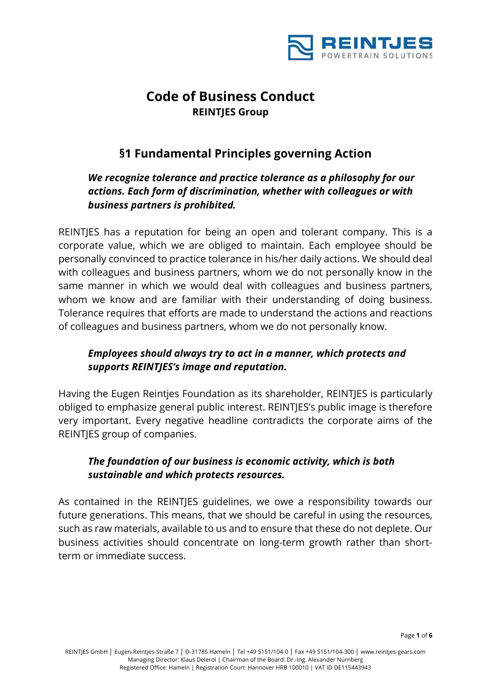

# **§1 Fundamental Principles governing Action**

# *We recognize tolerance and practice tolerance as a philosophy for our actions. Each form of discrimination, whether with colleagues or with business partners is prohibited.*

REINTJES has a reputation for being an open and tolerant company. This is a corporate value, which we are obliged to maintain. Each employee should be personally convinced to practice tolerance in his/her daily actions. We should deal with colleagues and business partners, whom we do not personally know in the same manner in which we would deal with colleagues and business partners, whom we know and are familiar with their understanding of doing business. Tolerance requires that efforts are made to understand the actions and reactions of colleagues and business partners, whom we do not personally know.

# *Employees should always try to act in a manner, which protects and supports REINTJES's image and reputation.*

Having the Eugen Reintjes Foundation as its shareholder, REINTJES is particularly obliged to emphasize general public interest. REINTJES's public image is therefore very important. Every negative headline contradicts the corporate aims of the REINTJES group of companies.

# *The foundation of our business is economic activity, which is both sustainable and which protects resources.*

As contained in the REINTJES guidelines, we owe a responsibility towards our future generations. This means, that we should be careful in using the resources, such as raw materials, available to us and to ensure that these do not deplete. Our business activities should concentrate on long-term growth rather than shortterm or immediate success.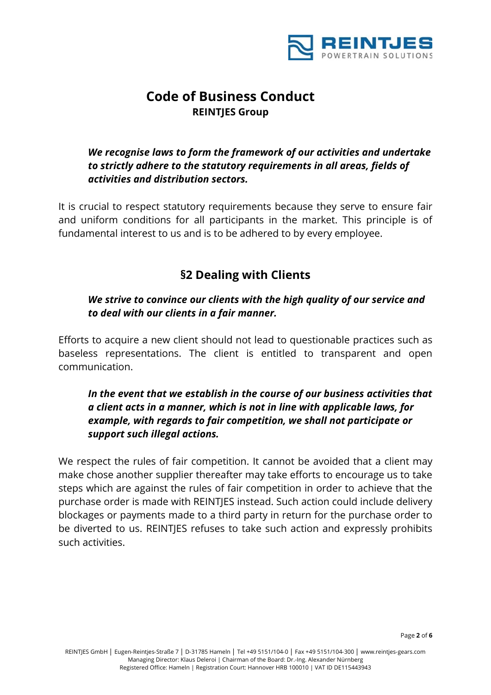

# *We recognise laws to form the framework of our activities and undertake to strictly adhere to the statutory requirements in all areas, fields of activities and distribution sectors.*

It is crucial to respect statutory requirements because they serve to ensure fair and uniform conditions for all participants in the market. This principle is of fundamental interest to us and is to be adhered to by every employee.

# **§2 Dealing with Clients**

#### *We strive to convince our clients with the high quality of our service and to deal with our clients in a fair manner.*

Efforts to acquire a new client should not lead to questionable practices such as baseless representations. The client is entitled to transparent and open communication.

# *In the event that we establish in the course of our business activities that a client acts in a manner, which is not in line with applicable laws, for example, with regards to fair competition, we shall not participate or support such illegal actions.*

We respect the rules of fair competition. It cannot be avoided that a client may make chose another supplier thereafter may take efforts to encourage us to take steps which are against the rules of fair competition in order to achieve that the purchase order is made with REINTJES instead. Such action could include delivery blockages or payments made to a third party in return for the purchase order to be diverted to us. REINTJES refuses to take such action and expressly prohibits such activities.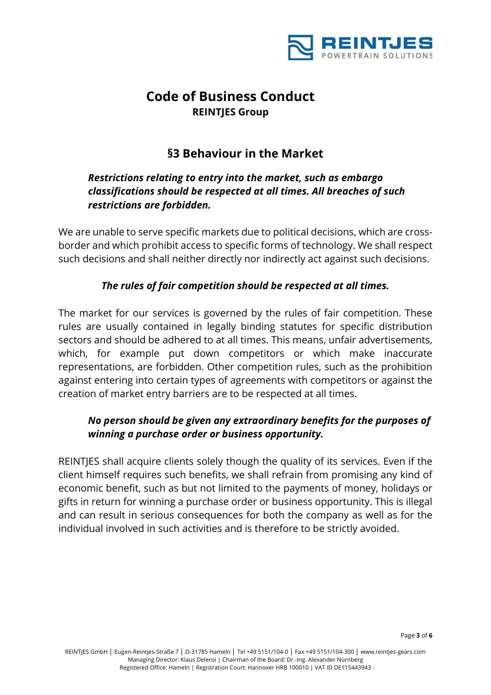

# **§3 Behaviour in the Market**

## *Restrictions relating to entry into the market, such as embargo classifications should be respected at all times. All breaches of such restrictions are forbidden.*

We are unable to serve specific markets due to political decisions, which are crossborder and which prohibit access to specific forms of technology. We shall respect such decisions and shall neither directly nor indirectly act against such decisions.

#### *The rules of fair competition should be respected at all times.*

The market for our services is governed by the rules of fair competition. These rules are usually contained in legally binding statutes for specific distribution sectors and should be adhered to at all times. This means, unfair advertisements, which, for example put down competitors or which make inaccurate representations, are forbidden. Other competition rules, such as the prohibition against entering into certain types of agreements with competitors or against the creation of market entry barriers are to be respected at all times.

# *No person should be given any extraordinary benefits for the purposes of winning a purchase order or business opportunity.*

REINTJES shall acquire clients solely though the quality of its services. Even if the client himself requires such benefits, we shall refrain from promising any kind of economic benefit, such as but not limited to the payments of money, holidays or gifts in return for winning a purchase order or business opportunity. This is illegal and can result in serious consequences for both the company as well as for the individual involved in such activities and is therefore to be strictly avoided.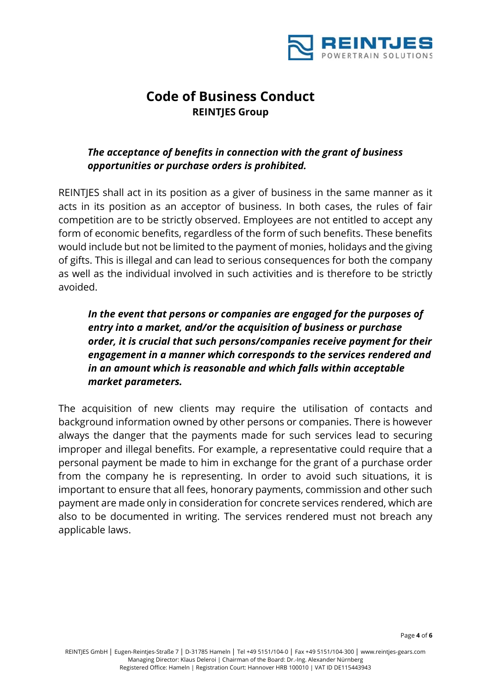

# *The acceptance of benefits in connection with the grant of business opportunities or purchase orders is prohibited.*

REINTJES shall act in its position as a giver of business in the same manner as it acts in its position as an acceptor of business. In both cases, the rules of fair competition are to be strictly observed. Employees are not entitled to accept any form of economic benefits, regardless of the form of such benefits. These benefits would include but not be limited to the payment of monies, holidays and the giving of gifts. This is illegal and can lead to serious consequences for both the company as well as the individual involved in such activities and is therefore to be strictly avoided.

*In the event that persons or companies are engaged for the purposes of entry into a market, and/or the acquisition of business or purchase order, it is crucial that such persons/companies receive payment for their engagement in a manner which corresponds to the services rendered and in an amount which is reasonable and which falls within acceptable market parameters.* 

The acquisition of new clients may require the utilisation of contacts and background information owned by other persons or companies. There is however always the danger that the payments made for such services lead to securing improper and illegal benefits. For example, a representative could require that a personal payment be made to him in exchange for the grant of a purchase order from the company he is representing. In order to avoid such situations, it is important to ensure that all fees, honorary payments, commission and other such payment are made only in consideration for concrete services rendered, which are also to be documented in writing. The services rendered must not breach any applicable laws.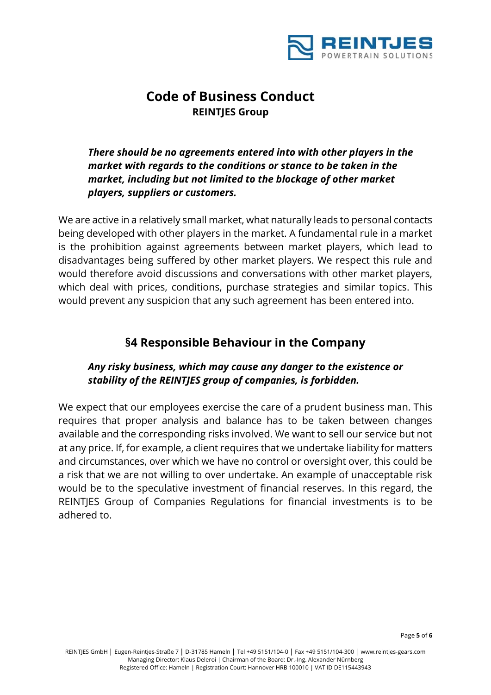

*There should be no agreements entered into with other players in the market with regards to the conditions or stance to be taken in the market, including but not limited to the blockage of other market players, suppliers or customers.* 

We are active in a relatively small market, what naturally leads to personal contacts being developed with other players in the market. A fundamental rule in a market is the prohibition against agreements between market players, which lead to disadvantages being suffered by other market players. We respect this rule and would therefore avoid discussions and conversations with other market players, which deal with prices, conditions, purchase strategies and similar topics. This would prevent any suspicion that any such agreement has been entered into.

# **§4 Responsible Behaviour in the Company**

# *Any risky business, which may cause any danger to the existence or stability of the REINTJES group of companies, is forbidden.*

We expect that our employees exercise the care of a prudent business man. This requires that proper analysis and balance has to be taken between changes available and the corresponding risks involved. We want to sell our service but not at any price. If, for example, a client requires that we undertake liability for matters and circumstances, over which we have no control or oversight over, this could be a risk that we are not willing to over undertake. An example of unacceptable risk would be to the speculative investment of financial reserves. In this regard, the REINTJES Group of Companies Regulations for financial investments is to be adhered to.